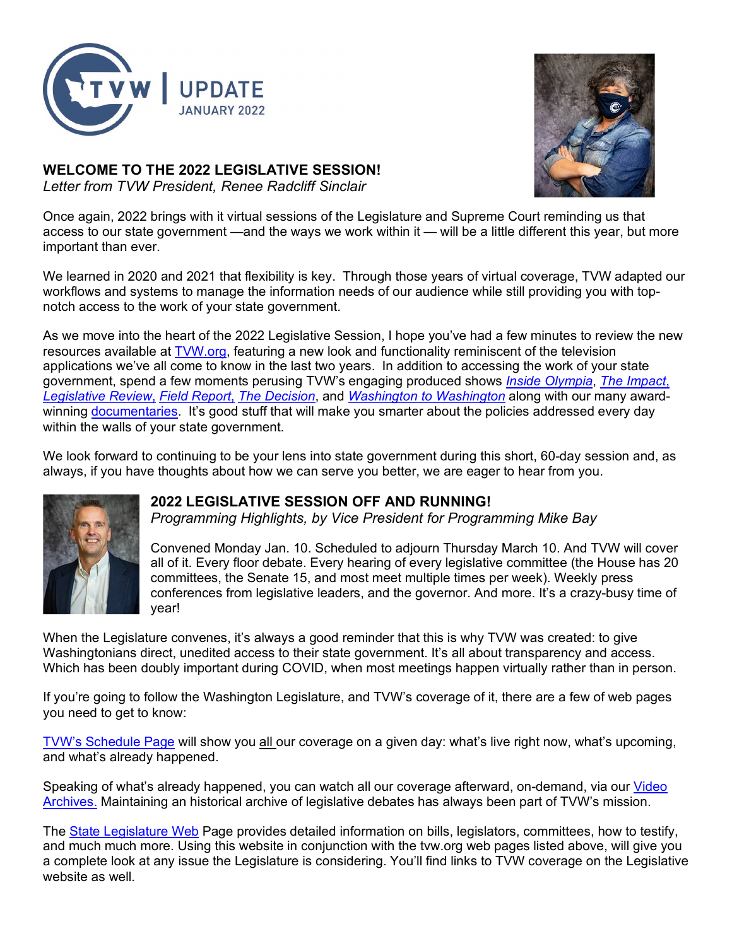

# **WELCOME TO THE 2022 LEGISLATIVE SESSION!**

*Letter from TVW President, [Renee Radcliff Sinclair](mailto:renee@tvw.org)*



Once again, 2022 brings with it virtual sessions of the Legislature and Supreme Court reminding us that access to our state government —and the ways we work within it — will be a little different this year, but more important than ever.

We learned in 2020 and 2021 that flexibility is key. Through those years of virtual coverage, TVW adapted our workflows and systems to manage the information needs of our audience while still providing you with topnotch access to the work of your state government.

As we move into the heart of the 2022 Legislative Session, I hope you've had a few minutes to review the new resources available at [TVW.org,](http://www.tvw.org/) featuring a new look and functionality reminiscent of the television applications we've all come to know in the last two years. In addition to accessing the work of your state government, spend a few moments perusing TVW's engaging produced shows *[Inside Olympia](https://tvw.org/shows/inside-olympia/)*, *[The Impact](https://tvw.org/shows/the-impact/)*, *[Legislative Review](https://tvw.org/shows/legislative-review/)*, *[Field Report](https://tvw.org/shows/field-report/)*, *[The Decision](https://tvw.org/shows/the-decision/)*, and *[Washington to Washington](https://tvw.org/shows/washington-to-washington/)* along with our many awardwinning [documentaries.](https://tvw.org/documentaries/) It's good stuff that will make you smarter about the policies addressed every day within the walls of your state government.

We look forward to continuing to be your lens into state government during this short, 60-day session and, as always, if you have thoughts about how we can serve you better, we are eager to hear from you.



## **2022 LEGISLATIVE SESSION OFF AND RUNNING!**

*Programming Highlights, by Vice President for Programming Mike Bay*

Convened Monday Jan. 10. Scheduled to adjourn Thursday March 10. And TVW will cover all of it. Every floor debate. Every hearing of every legislative committee (the House has 20 committees, the Senate 15, and most meet multiple times per week). Weekly press conferences from legislative leaders, and the governor. And more. It's a crazy-busy time of year!

When the Legislature convenes, it's always a good reminder that this is why TVW was created: to give Washingtonians direct, unedited access to their state government. It's all about transparency and access. Which has been doubly important during COVID, when most meetings happen virtually rather than in person.

If you're going to follow the Washington Legislature, and TVW's coverage of it, there are a few of web pages you need to get to know:

[TVW's Schedule Page](https://tvw.org/schedule/) will show you all our coverage on a given day: what's live right now, what's upcoming, and what's already happened.

Speaking of what's already happened, you can watch all our coverage afterward, on-demand, via our Video [Archives.](https://tvw.org/video-search/) Maintaining an historical archive of legislative debates has always been part of TVW's mission.

The [State Legislature Web](https://leg.wa.gov/%20The%20WA%20State%20Legislature%E2%80%99s%20official%20website%20includes) Page provides detailed information on bills, legislators, committees, how to testify, and much much more. Using this website in conjunction with the tvw.org web pages listed above, will give you a complete look at any issue the Legislature is considering. You'll find links to TVW coverage on the Legislative website as well